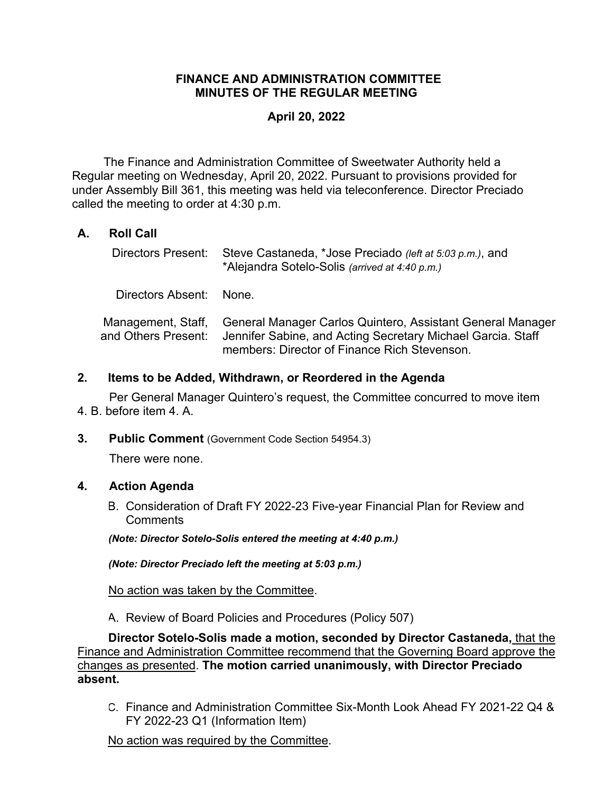### **FINANCE AND ADMINISTRATION COMMITTEE MINUTES OF THE REGULAR MEETING**

### **April 20, 2022**

 The Finance and Administration Committee of Sweetwater Authority held a Regular meeting on Wednesday, April 20, 2022. Pursuant to provisions provided for under Assembly Bill 361, this meeting was held via teleconference. Director Preciado called the meeting to order at 4:30 p.m.

## **A. Roll Call**

|                         | Directors Present: Steve Castaneda, *Jose Preciado (left at 5:03 p.m.), and<br>*Alejandra Sotelo-Solis (arrived at 4:40 p.m.)                                                                |
|-------------------------|----------------------------------------------------------------------------------------------------------------------------------------------------------------------------------------------|
| Directors Absent: None. |                                                                                                                                                                                              |
| and Others Present:     | Management, Staff, General Manager Carlos Quintero, Assistant General Manager<br>Jennifer Sabine, and Acting Secretary Michael Garcia. Staff<br>members: Director of Finance Rich Stevenson. |

### **2. Items to be Added, Withdrawn, or Reordered in the Agenda**

Per General Manager Quintero's request, the Committee concurred to move item 4. B. before item 4. A.

**3. Public Comment** (Government Code Section 54954.3)

There were none.

### **4. Action Agenda**

B. Consideration of Draft FY 2022-23 Five-year Financial Plan for Review and **Comments** 

*(Note: Director Sotelo-Solis entered the meeting at 4:40 p.m.)* 

*(Note: Director Preciado left the meeting at 5:03 p.m.)* 

No action was taken by the Committee.

A. Review of Board Policies and Procedures (Policy 507)

**Director Sotelo-Solis made a motion, seconded by Director Castaneda,** that the Finance and Administration Committee recommend that the Governing Board approve the changes as presented. **The motion carried unanimously, with Director Preciado absent.**

C. Finance and Administration Committee Six-Month Look Ahead FY 2021-22 Q4 & FY 2022-23 Q1 (Information Item)

No action was required by the Committee.